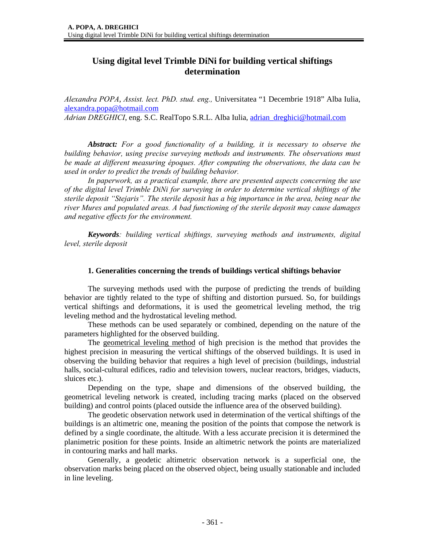# **Using digital level Trimble DiNi for building vertical shiftings determination**

*Alexandra POPA*, *Assist. lect. PhD. stud. eng.,* Universitatea "1 Decembrie 1918" Alba Iulia, alexandra.popa@hotmail.com *Adrian DREGHICI*, eng. S.C. RealTopo S.R.L. Alba Iulia, adrian\_dreghici@hotmail.com

*Abstract: For a good functionality of a building, it is necessary to observe the building behavior, using precise surveying methods and instruments. The observations must be made at different measuring époques. After computing the observations, the data can be used in order to predict the trends of building behavior.* 

*In paperwork, as a practical example, there are presented aspects concerning the use of the digital level Trimble DiNi for surveying in order to determine vertical shiftings of the sterile deposit "Stejaris". The sterile deposit has a big importance in the area, being near the river Mures and populated areas. A bad functioning of the sterile deposit may cause damages and negative effects for the environment.* 

*Keywords: building vertical shiftings, surveying methods and instruments, digital level, sterile deposit* 

#### **1. Generalities concerning the trends of buildings vertical shiftings behavior**

The surveying methods used with the purpose of predicting the trends of building behavior are tightly related to the type of shifting and distortion pursued. So, for buildings vertical shiftings and deformations, it is used the geometrical leveling method, the trig leveling method and the hydrostatical leveling method.

These methods can be used separately or combined, depending on the nature of the parameters highlighted for the observed building.

The geometrical leveling method of high precision is the method that provides the highest precision in measuring the vertical shiftings of the observed buildings. It is used in observing the building behavior that requires a high level of precision (buildings, industrial halls, social-cultural edifices, radio and television towers, nuclear reactors, bridges, viaducts, sluices etc.).

Depending on the type, shape and dimensions of the observed building, the geometrical leveling network is created, including tracing marks (placed on the observed building) and control points (placed outside the influence area of the observed building).

The geodetic observation network used in determination of the vertical shiftings of the buildings is an altimetric one, meaning the position of the points that compose the network is defined by a single coordinate, the altitude. With a less accurate precision it is determined the planimetric position for these points. Inside an altimetric network the points are materialized in contouring marks and hall marks.

Generally, a geodetic altimetric observation network is a superficial one, the observation marks being placed on the observed object, being usually stationable and included in line leveling.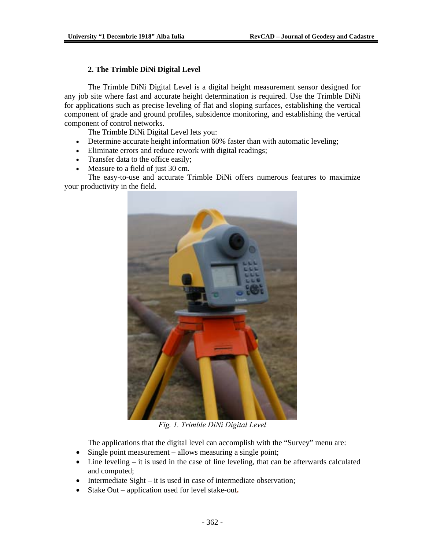## **2. The Trimble DiNi Digital Level**

The Trimble DiNi Digital Level is a digital height measurement sensor designed for any job site where fast and accurate height determination is required. Use the Trimble DiNi for applications such as precise leveling of flat and sloping surfaces, establishing the vertical component of grade and ground profiles, subsidence monitoring, and establishing the vertical component of control networks.

The Trimble DiNi Digital Level lets you:

- Determine accurate height information 60% faster than with automatic leveling;
- Eliminate errors and reduce rework with digital readings;
- Transfer data to the office easily;
- Measure to a field of just 30 cm.

The easy-to-use and accurate Trimble DiNi offers numerous features to maximize your productivity in the field.



*Fig. 1. Trimble DiNi Digital Level* 

The applications that the digital level can accomplish with the "Survey" menu are:

- Single point measurement allows measuring a single point;
- Line leveling it is used in the case of line leveling, that can be afterwards calculated and computed;
- Intermediate Sight it is used in case of intermediate observation;
- Stake Out application used for level stake-out**.**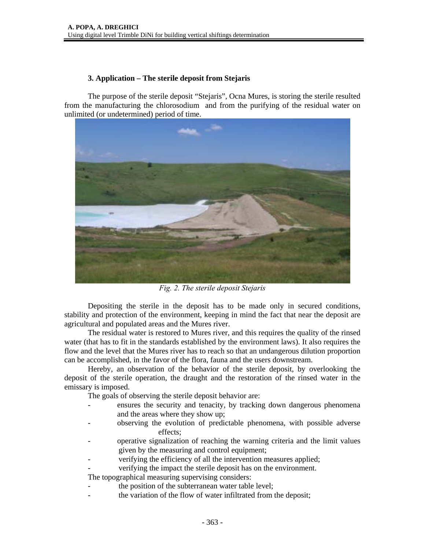## **3. Application – The sterile deposit from Stejaris**

The purpose of the sterile deposit "Stejaris", Ocna Mures, is storing the sterile resulted from the manufacturing the chlorosodium and from the purifying of the residual water on unlimited (or undetermined) period of time.



*Fig. 2. The sterile deposit Stejaris* 

 Depositing the sterile in the deposit has to be made only in secured conditions, stability and protection of the environment, keeping in mind the fact that near the deposit are agricultural and populated areas and the Mures river.

The residual water is restored to Mures river, and this requires the quality of the rinsed water (that has to fit in the standards established by the environment laws). It also requires the flow and the level that the Mures river has to reach so that an undangerous dilution proportion can be accomplished, in the favor of the flora, fauna and the users downstream.

Hereby, an observation of the behavior of the sterile deposit, by overlooking the deposit of the sterile operation, the draught and the restoration of the rinsed water in the emissary is imposed.

The goals of observing the sterile deposit behavior are:

- ensures the security and tenacity, by tracking down dangerous phenomena and the areas where they show up;
- observing the evolution of predictable phenomena, with possible adverse effects;
- operative signalization of reaching the warning criteria and the limit values given by the measuring and control equipment;
- verifying the efficiency of all the intervention measures applied;
- verifying the impact the sterile deposit has on the environment.

The topographical measuring supervising considers:

- the position of the subterranean water table level;
- the variation of the flow of water infiltrated from the deposit;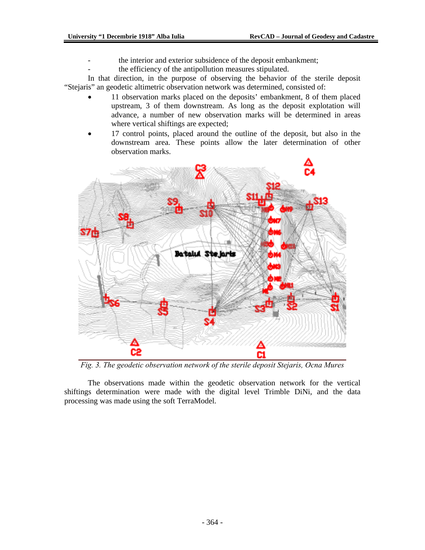- the interior and exterior subsidence of the deposit embankment;
- the efficiency of the antipollution measures stipulated.

In that direction, in the purpose of observing the behavior of the sterile deposit "Stejaris" an geodetic altimetric observation network was determined, consisted of:

- 11 observation marks placed on the deposits' embankment, 8 of them placed upstream, 3 of them downstream. As long as the deposit explotation will advance, a number of new observation marks will be determined in areas where vertical shiftings are expected;
- 17 control points, placed around the outline of the deposit, but also in the downstream area. These points allow the later determination of other observation marks.



*Fig. 3. The geodetic observation network of the sterile deposit Stejaris, Ocna Mures* 

The observations made within the geodetic observation network for the vertical shiftings determination were made with the digital level Trimble DiNi, and the data processing was made using the soft TerraModel.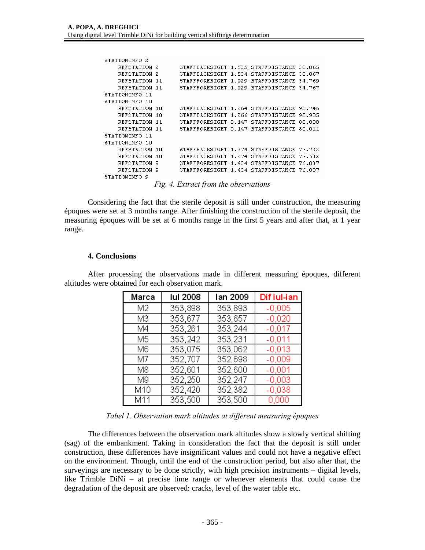| STATIONINFO 2  |      |                                                                                                                                 |               |        |
|----------------|------|---------------------------------------------------------------------------------------------------------------------------------|---------------|--------|
| REFSTATION 2   |      | STAFFBACKSIGHT 1.535 STAFFDISTANCE 30.065                                                                                       |               |        |
| REFSTATION 2   |      | STAFFBACKSIGHT 1.534 STAFFDISTANCE 30.067                                                                                       |               |        |
| REFSTATION     | -11  | STAFFFORESIGHT 1.929 STAFFDISTANCE 34.769                                                                                       |               |        |
| REFSTATION 11  |      | STAFFFORESIGHT 1.929 STAFFDISTANCE 34.767                                                                                       |               |        |
| STATIONINFO 11 |      |                                                                                                                                 |               |        |
| STATIONINFO 10 |      |                                                                                                                                 |               |        |
| REFSTATION     | -1 N | STAFFBACKSIGHT 1.264 STAFFDISTANCE 95.746                                                                                       |               |        |
| REFSTATION     | 10   | STAFFBACKSIGHT 1.266 STAFFDISTANCE 95.985                                                                                       |               |        |
| REFSTATION     | 11   | STAFFFORESIGHT 0.147                                                                                                            | STAFFDISTANCE | 80.080 |
| REFSTATION     | -11  | STAFFFORESIGHT 0.147 STAFFDISTANCE 80.011                                                                                       |               |        |
| STATIONINFO 11 |      |                                                                                                                                 |               |        |
| STATIONINFO 10 |      |                                                                                                                                 |               |        |
| REFSTATION     | ר 1  | STAFFBACKSIGHT 1.274 STAFFDISTANCE 77.732                                                                                       |               |        |
| REFSTATION     | 10   | STAFFBACKSIGHT 1.274 STAFFDISTANCE                                                                                              |               | 77.632 |
| REFSTATION     | 9    | STAFFFORESIGHT 1.434 STAFFDISTANCE                                                                                              |               | 76.837 |
| REFSTATION 9   |      | STAFFFORESIGHT 1.434 STAFFDISTANCE 76.087                                                                                       |               |        |
| STATIONINFO 9  |      |                                                                                                                                 |               |        |
|                |      | $\Gamma$ : $\ell$ $\Gamma$ . $\ell$ . $\ell$ . $\ell$ . $\ell$ . $\ell$ . $\ell$ . $\ell$ . $\ell$ . $\ell$ . $\ell$ . $\ell$ . |               |        |

*Fig. 4. Extract from the observations* 

 Considering the fact that the sterile deposit is still under construction, the measuring époques were set at 3 months range. After finishing the construction of the sterile deposit, the measuring époques will be set at 6 months range in the first 5 years and after that, at 1 year range.

#### **4. Conclusions**

After processing the observations made in different measuring époques, different altitudes were obtained for each observation mark.

| Marca | lul 2008 | lan 2009 | Dif iul-ian |
|-------|----------|----------|-------------|
| M2    | 353,898  | 353,893  | $-0,005$    |
| M3    | 353,677  | 353,657  | $-0.020$    |
| Μ4    | 353,261  | 353,244  | $-0.017$    |
| M5    | 353,242  | 353,231  | $-0.011$    |
| Μ6    | 353,075  | 353,062  | $-0.013$    |
| M7    | 352,707  | 352,698  | $-0.009$    |
| М8    | 352,601  | 352,600  | $-0.001$    |
| M9    | 352,250  | 352,247  | $-0.003$    |
| M10   | 352,420  | 352,382  | $-0.038$    |
| M11   | 353,500  | 353,500  | 0,000       |

*Tabel 1. Observation mark altitudes at different measuring époques* 

The differences between the observation mark altitudes show a slowly vertical shifting (sag) of the embankment. Taking in consideration the fact that the deposit is still under construction, these differences have insignificant values and could not have a negative effect on the environment. Though, until the end of the construction period, but also after that, the surveyings are necessary to be done strictly, with high precision instruments – digital levels, like Trimble DiNi – at precise time range or whenever elements that could cause the degradation of the deposit are observed: cracks, level of the water table etc.